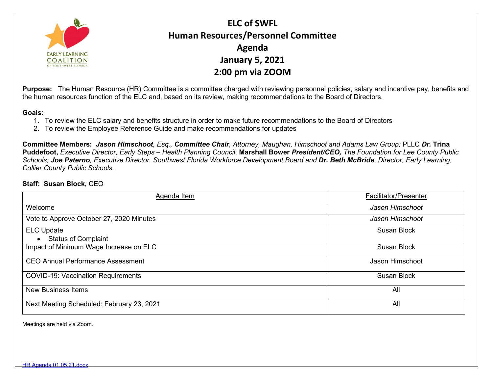

**ELC of SWFL Human Resources/Personnel Committee Agenda January 5, 2021 2:00 pm via ZOOM**

**Purpose:** The Human Resource (HR) Committee is a committee charged with reviewing personnel policies, salary and incentive pay, benefits and the human resources function of the ELC and, based on its review, making recommendations to the Board of Directors.

## **Goals:**

- 1. To review the ELC salary and benefits structure in order to make future recommendations to the Board of Directors
- 2. To review the Employee Reference Guide and make recommendations for updates

**Committee Members:** *Jason Himschoot, Esq., Committee Chair, Attorney, Maughan, Himschoot and Adams Law Group;* PLLC *Dr.* **Trina Puddefoot,** *Executive Director, Early Steps – Health Planning Council*; **Marshall Bower** *President/CEO, The Foundation for Lee County Public Schools; Joe Paterno, Executive Director, Southwest Florida Workforce Development Board and Dr. Beth McBride, Director, Early Learning, Collier County Public Schools.*

## **Staff: Susan Block,** CEO

| Agenda Item                                     | Facilitator/Presenter |
|-------------------------------------------------|-----------------------|
| Welcome                                         | Jason Himschoot       |
| Vote to Approve October 27, 2020 Minutes        | Jason Himschoot       |
| <b>ELC Update</b><br><b>Status of Complaint</b> | Susan Block           |
| Impact of Minimum Wage Increase on ELC          | Susan Block           |
| <b>CEO Annual Performance Assessment</b>        | Jason Himschoot       |
| <b>COVID-19: Vaccination Requirements</b>       | <b>Susan Block</b>    |
| <b>New Business Items</b>                       | All                   |
| Next Meeting Scheduled: February 23, 2021       | All                   |

Meetings are held via Zoom.